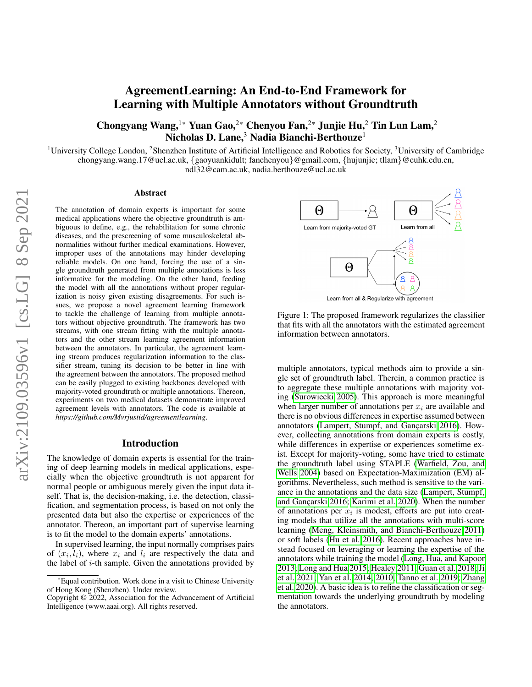# AgreementLearning: An End-to-End Framework for Learning with Multiple Annotators without Groundtruth

Chongyang Wang,<sup>1\*</sup> Yuan Gao,<sup>2\*</sup> Chenyou Fan,<sup>2\*</sup> Junjie Hu,<sup>2</sup> Tin Lun Lam,<sup>2</sup> Nicholas D. Lane, $3$  Nadia Bianchi-Berthouze<sup>1</sup>

<sup>1</sup>University College London, <sup>2</sup>Shenzhen Institute of Artificial Intelligence and Robotics for Society, <sup>3</sup>University of Cambridge chongyang.wang.17@ucl.ac.uk, {gaoyuankidult; fanchenyou}@gmail.com, {hujunjie; tllam}@cuhk.edu.cn, ndl32@cam.ac.uk, nadia.berthouze@ucl.ac.uk

#### Abstract

The annotation of domain experts is important for some medical applications where the objective groundtruth is ambiguous to define, e.g., the rehabilitation for some chronic diseases, and the prescreening of some musculoskeletal abnormalities without further medical examinations. However, improper uses of the annotations may hinder developing reliable models. On one hand, forcing the use of a single groundtruth generated from multiple annotations is less informative for the modeling. On the other hand, feeding the model with all the annotations without proper regularization is noisy given existing disagreements. For such issues, we propose a novel agreement learning framework to tackle the challenge of learning from multiple annotators without objective groundtruth. The framework has two streams, with one stream fitting with the multiple annotators and the other stream learning agreement information between the annotators. In particular, the agreement learning stream produces regularization information to the classifier stream, tuning its decision to be better in line with the agreement between the annotators. The proposed method can be easily plugged to existing backbones developed with majority-voted groundtruth or multiple annotations. Thereon, experiments on two medical datasets demonstrate improved agreement levels with annotators. The code is available at *https://github.com/Mvrjustid/agreementlearning*.

### Introduction

The knowledge of domain experts is essential for the training of deep learning models in medical applications, especially when the objective groundtruth is not apparent for normal people or ambiguous merely given the input data itself. That is, the decision-making, i.e. the detection, classification, and segmentation process, is based on not only the presented data but also the expertise or experiences of the annotator. Thereon, an important part of supervise learning is to fit the model to the domain experts' annotations.

In supervised learning, the input normally comprises pairs of  $(x_i, l_i)$ , where  $x_i$  and  $l_i$  are respectively the data and the label of  $i$ -th sample. Given the annotations provided by



Figure 1: The proposed framework regularizes the classifier that fits with all the annotators with the estimated agreement information between annotators.

multiple annotators, typical methods aim to provide a single set of groundtruth label. Therein, a common practice is to aggregate these multiple annotations with majority voting [\(Surowiecki 2005\)](#page-8-0). This approach is more meaningful when larger number of annotations per  $x_i$  are available and there is no obvious differences in expertise assumed between annotators (Lampert, Stumpf, and Gançarski 2016). However, collecting annotations from domain experts is costly, while differences in expertise or experiences sometime exist. Except for majority-voting, some have tried to estimate the groundtruth label using STAPLE [\(Warfield, Zou, and](#page-8-1) [Wells 2004\)](#page-8-1) based on Expectation-Maximization (EM) algorithms. Nevertheless, such method is sensitive to the variance in the annotations and the data size [\(Lampert, Stumpf,](#page-7-0) and Gançarski 2016; [Karimi et al. 2020\)](#page-7-1). When the number of annotations per  $x_i$  is modest, efforts are put into creating models that utilize all the annotations with multi-score learning [\(Meng, Kleinsmith, and Bianchi-Berthouze 2011\)](#page-8-2) or soft labels [\(Hu et al. 2016\)](#page-7-2). Recent approaches have instead focused on leveraging or learning the expertise of the annotators while training the model [\(Long, Hua, and Kapoor](#page-8-3) [2013;](#page-8-3) [Long and Hua 2015;](#page-7-3) [Healey 2011;](#page-7-4) [Guan et al. 2018;](#page-7-5) [Ji](#page-7-6) [et al. 2021;](#page-7-6) [Yan et al. 2014,](#page-8-4) [2010;](#page-8-5) [Tanno et al. 2019;](#page-8-6) [Zhang](#page-8-7) [et al. 2020\)](#page-8-7). A basic idea is to refine the classification or segmentation towards the underlying groundtruth by modeling the annotators.

<sup>\*</sup>Equal contribution. Work done in a visit to Chinese University of Hong Kong (Shenzhen). Under review.

Copyright © 2022, Association for the Advancement of Artificial Intelligence (www.aaai.org). All rights reserved.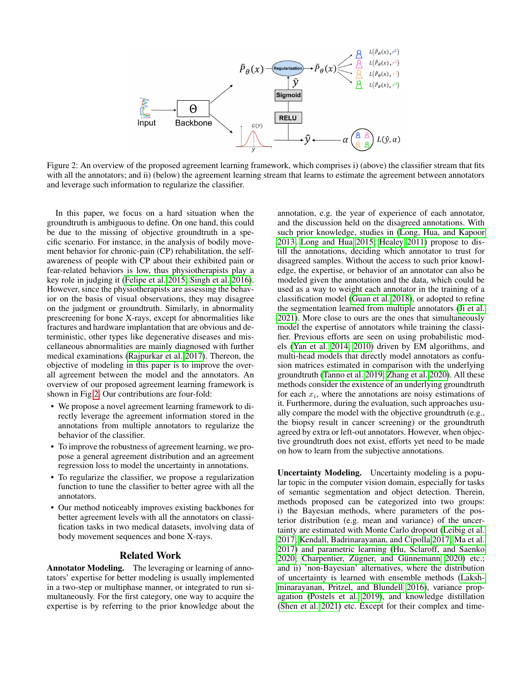<span id="page-1-0"></span>

Figure 2: An overview of the proposed agreement learning framework, which comprises i) (above) the classifier stream that fits with all the annotators; and ii) (below) the agreement learning stream that learns to estimate the agreement between annotators and leverage such information to regularize the classifier.

In this paper, we focus on a hard situation when the groundtruth is ambiguous to define. On one hand, this could be due to the missing of objective groundtruth in a specific scenario. For instance, in the analysis of bodily movement behavior for chronic-pain (CP) rehabilitation, the selfawareness of people with CP about their exhibited pain or fear-related behaviors is low, thus physiotherapists play a key role in judging it [\(Felipe et al. 2015;](#page-7-7) [Singh et al. 2016\)](#page-8-8). However, since the physiotherapists are assessing the behavior on the basis of visual observations, they may disagree on the judgment or groundtruth. Similarly, in abnormality prescreening for bone X-rays, except for abnormalities like fractures and hardware implantation that are obvious and deterministic, other types like degenerative diseases and miscellaneous abnormalities are mainly diagnosed with further medical examinations [\(Rajpurkar et al. 2017\)](#page-8-9). Thereon, the objective of modeling in this paper is to improve the overall agreement between the model and the annotators. An overview of our proposed agreement learning framework is shown in Fig[.2.](#page-1-0) Our contributions are four-fold:

- We propose a novel agreement learning framework to directly leverage the agreement information stored in the annotations from multiple annotators to regularize the behavior of the classifier.
- To improve the robustness of agreement learning, we propose a general agreement distribution and an agreement regression loss to model the uncertainty in annotations.
- To regularize the classifier, we propose a regularization function to tune the classifier to better agree with all the annotators.
- Our method noticeably improves existing backbones for better agreement levels with all the annotators on classification tasks in two medical datasets, involving data of body movement sequences and bone X-rays.

## Related Work

Annotator Modeling. The leveraging or learning of annotators' expertise for better modeling is usually implemented in a two-step or multiphase manner, or integrated to run simultaneously. For the first category, one way to acquire the expertise is by referring to the prior knowledge about the

annotation, e.g. the year of experience of each annotator, and the discussion held on the disagreed annotations. With such prior knowledge, studies in [\(Long, Hua, and Kapoor](#page-8-3) [2013;](#page-8-3) [Long and Hua 2015;](#page-7-3) [Healey 2011\)](#page-7-4) propose to distill the annotations, deciding which annotator to trust for disagreed samples. Without the access to such prior knowledge, the expertise, or behavior of an annotator can also be modeled given the annotation and the data, which could be used as a way to weight each annotator in the training of a classification model [\(Guan et al. 2018\)](#page-7-5), or adopted to refine the segmentation learned from multiple annotators [\(Ji et al.](#page-7-6) [2021\)](#page-7-6). More close to ours are the ones that simultaneously model the expertise of annotators while training the classifier. Previous efforts are seen on using probabilistic models [\(Yan et al. 2014,](#page-8-4) [2010\)](#page-8-5) driven by EM algorithms, and multi-head models that directly model annotators as confusion matrices estimated in comparison with the underlying groundtruth [\(Tanno et al. 2019;](#page-8-6) [Zhang et al. 2020\)](#page-8-7). All these methods consider the existence of an underlying groundtruth for each  $x_i$ , where the annotations are noisy estimations of it. Furthermore, during the evaluation, such approaches usually compare the model with the objective groundtruth (e.g., the biopsy result in cancer screening) or the groundtruth agreed by extra or left-out annotators. However, when objective groundtruth does not exist, efforts yet need to be made on how to learn from the subjective annotations.

Uncertainty Modeling. Uncertainty modeling is a popular topic in the computer vision domain, especially for tasks of semantic segmentation and object detection. Therein, methods proposed can be categorized into two groups: i) the Bayesian methods, where parameters of the posterior distribution (e.g. mean and variance) of the uncertainty are estimated with Monte Carlo dropout [\(Leibig et al.](#page-7-8) [2017;](#page-7-8) [Kendall, Badrinarayanan, and Cipolla 2017;](#page-7-9) [Ma et al.](#page-8-10) [2017\)](#page-8-10) and parametric learning [\(Hu, Sclaroff, and Saenko](#page-7-10) [2020;](#page-7-10) Charpentier, Zügner, and Günnemann [2020\)](#page-7-11) etc.; and ii) 'non-Bayesian' alternatives, where the distribution of uncertainty is learned with ensemble methods [\(Laksh](#page-7-12)[minarayanan, Pritzel, and Blundell 2016\)](#page-7-12), variance propagation [\(Postels et al. 2019\)](#page-8-11), and knowledge distillation [\(Shen et al. 2021\)](#page-8-12) etc. Except for their complex and time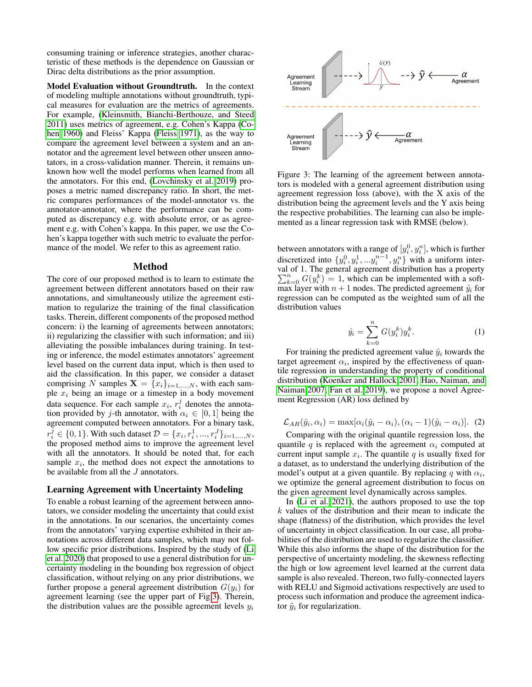consuming training or inference strategies, another characteristic of these methods is the dependence on Gaussian or Dirac delta distributions as the prior assumption.

Model Evaluation without Groundtruth. In the context of modeling multiple annotations without groundtruth, typical measures for evaluation are the metrics of agreements. For example, [\(Kleinsmith, Bianchi-Berthouze, and Steed](#page-7-13) [2011\)](#page-7-13) uses metrics of agreement, e.g. Cohen's Kappa [\(Co](#page-7-14)[hen 1960\)](#page-7-14) and Fleiss' Kappa [\(Fleiss 1971\)](#page-7-15), as the way to compare the agreement level between a system and an annotator and the agreement level between other unseen annotators, in a cross-validation manner. Therein, it remains unknown how well the model performs when learned from all the annotators. For this end, [\(Lovchinsky et al. 2019\)](#page-8-13) proposes a metric named discrepancy ratio. In short, the metric compares performances of the model-annotator vs. the annotator-annotator, where the performance can be computed as discrepancy e.g. with absolute error, or as agreement e.g. with Cohen's kappa. In this paper, we use the Cohen's kappa together with such metric to evaluate the performance of the model. We refer to this as agreement ratio.

#### Method

The core of our proposed method is to learn to estimate the agreement between different annotators based on their raw annotations, and simultaneously utilize the agreement estimation to regularize the training of the final classification tasks. Therein, different components of the proposed method concern: i) the learning of agreements between annotators; ii) regularizing the classifier with such information; and iii) alleviating the possible imbalances during training. In testing or inference, the model estimates annotators' agreement level based on the current data input, which is then used to aid the classification. In this paper, we consider a dataset comprising N samples  $X = \{x_i\}_{i=1,\dots,N}$ , with each sample  $x_i$  being an image or a timestep in a body movement data sequence. For each sample  $x_i$ ,  $r_i^j$  denotes the annotation provided by j-th annotator, with  $\alpha_i \in [0, 1]$  being the agreement computed between annotators. For a binary task,  $r_i^j \in \{0, 1\}$ . With such dataset  $\mathcal{D} = \{x_i, r_i^1, ..., r_i^J\}_{i=1,...,N}$ , the proposed method aims to improve the agreement level with all the annotators. It should be noted that, for each sample  $x_i$ , the method does not expect the annotations to be available from all the J annotators.

## Learning Agreement with Uncertainty Modeling

To enable a robust learning of the agreement between annotators, we consider modeling the uncertainty that could exist in the annotations. In our scenarios, the uncertainty comes from the annotators' varying expertise exhibited in their annotations across different data samples, which may not follow specific prior distributions. Inspired by the study of [\(Li](#page-7-16) [et al. 2020\)](#page-7-16) that proposed to use a general distribution for uncertainty modeling in the bounding box regression of object classification, without relying on any prior distributions, we further propose a general agreement distribution  $G(y_i)$  for agreement learning (see the upper part of Fig[.3\)](#page-2-0). Therein, the distribution values are the possible agreement levels  $y_i$ 

<span id="page-2-0"></span>

Figure 3: The learning of the agreement between annotators is modeled with a general agreement distribution using agreement regression loss (above), with the X axis of the distribution being the agreement levels and the Y axis being the respective probabilities. The learning can also be implemented as a linear regression task with RMSE (below).

between annotators with a range of  $[y_i^0, y_i^n]$ , which is further discretized into  $\{y_i^0, y_i^1, \ldots, y_i^{n-1}, y_i^n\}$  with a uniform interval of 1. The general agreement distribution has a property  $\sum_{k=0}^{n} G(y_i^k) = 1$ , which can be implemented with a softmax layer with  $n + 1$  nodes. The predicted agreement  $\hat{y}_i$  for regression can be computed as the weighted sum of all the distribution values

$$
\hat{y}_i = \sum_{k=0}^n G(y_i^k) y_i^k.
$$
 (1)

For training the predicted agreement value  $\hat{y}_i$  towards the target agreement  $\alpha_i$ , inspired by the effectiveness of quantile regression in understanding the property of conditional distribution [\(Koenker and Hallock 2001;](#page-7-17) [Hao, Naiman, and](#page-7-18) [Naiman 2007;](#page-7-18) [Fan et al. 2019\)](#page-7-19), we propose a novel Agreement Regression (AR) loss defined by

$$
\mathcal{L}_{AR}(\hat{y}_i, \alpha_i) = \max[\alpha_i(\hat{y}_i - \alpha_i), (\alpha_i - 1)(\hat{y}_i - \alpha_i)]. \tag{2}
$$

Comparing with the original quantile regression loss, the quantile q is replaced with the agreement  $\alpha_i$  computed at current input sample  $x_i$ . The quantile  $q$  is usually fixed for a dataset, as to understand the underlying distribution of the model's output at a given quantile. By replacing q with  $\alpha_i$ , we optimize the general agreement distribution to focus on the given agreement level dynamically across samples.

In [\(Li et al. 2021\)](#page-7-20), the authors proposed to use the top  $k$  values of the distribution and their mean to indicate the shape (flatness) of the distribution, which provides the level of uncertainty in object classification. In our case, all probabilities of the distribution are used to regularize the classifier. While this also informs the shape of the distribution for the perspective of uncertainty modeling, the skewness reflecting the high or low agreement level learned at the current data sample is also revealed. Thereon, two fully-connected layers with RELU and Sigmoid activations respectively are used to process such information and produce the agreement indicator  $\tilde{y}_i$  for regularization.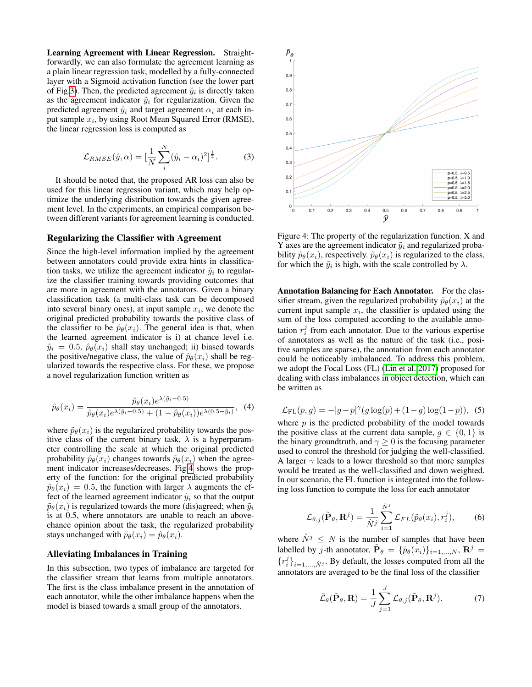Learning Agreement with Linear Regression. Straightforwardly, we can also formulate the agreement learning as a plain linear regression task, modelled by a fully-connected layer with a Sigmoid activation function (see the lower part of Fig[.3\)](#page-2-0). Then, the predicted agreement  $\hat{y}_i$  is directly taken as the agreement indicator  $\tilde{y}_i$  for regularization. Given the predicted agreement  $\hat{y}_i$  and target agreement  $\alpha_i$  at each input sample  $x_i$ , by using Root Mean Squared Error (RMSE), the linear regression loss is computed as

$$
\mathcal{L}_{RMSE}(\hat{y}, \alpha) = [\frac{1}{N} \sum_{i}^{N} (\hat{y}_i - \alpha_i)^2]^{\frac{1}{2}}.
$$
 (3)

It should be noted that, the proposed AR loss can also be used for this linear regression variant, which may help optimize the underlying distribution towards the given agreement level. In the experiments, an empirical comparison between different variants for agreement learning is conducted.

#### Regularizing the Classifier with Agreement

Since the high-level information implied by the agreement between annotators could provide extra hints in classification tasks, we utilize the agreement indicator  $\tilde{y}_i$  to regularize the classifier training towards providing outcomes that are more in agreement with the annotators. Given a binary classification task (a multi-class task can be decomposed into several binary ones), at input sample  $x_i$ , we denote the original predicted probability towards the positive class of the classifier to be  $\hat{p}_{\theta}(x_i)$ . The general idea is that, when the learned agreement indicator is i) at chance level i.e.  $\tilde{y}_i = 0.5$ ,  $\hat{p}_\theta(x_i)$  shall stay unchanged; ii) biased towards the positive/negative class, the value of  $\hat{p}_{\theta}(x_i)$  shall be regularized towards the respective class. For these, we propose a novel regularization function written as

$$
\tilde{p}_{\theta}(x_i) = \frac{\hat{p}_{\theta}(x_i)e^{\lambda(\tilde{y}_i - 0.5)}}{\hat{p}_{\theta}(x_i)e^{\lambda(\tilde{y}_i - 0.5)} + (1 - \hat{p}_{\theta}(x_i))e^{\lambda(0.5 - \tilde{y}_i)}},\tag{4}
$$

where  $\tilde{p}_{\theta}(x_i)$  is the regularized probability towards the positive class of the current binary task,  $\lambda$  is a hyperparameter controlling the scale at which the original predicted probability  $\hat{p}_{\theta}(x_i)$  changes towards  $\tilde{p}_{\theta}(x_i)$  when the agreement indicator increases/decreases. Fig[.4](#page-3-0) shows the property of the function: for the original predicted probability  $\hat{p}_{\theta}(x_i) = 0.5$ , the function with larger  $\lambda$  augments the effect of the learned agreement indicator  $\tilde{y}_i$  so that the output  $\tilde{p}_{\theta}(x_i)$  is regularized towards the more (dis)agreed; when  $\tilde{y}_i$ is at 0.5, where annotators are unable to reach an abovechance opinion about the task, the regularized probability stays unchanged with  $\tilde{p}_{\theta}(x_i) = \hat{p}_{\theta}(x_i)$ .

# Alleviating Imbalances in Training

In this subsection, two types of imbalance are targeted for the classifier stream that learns from multiple annotators. The first is the class imbalance present in the annotation of each annotator, while the other imbalance happens when the model is biased towards a small group of the annotators.

<span id="page-3-0"></span>

Figure 4: The property of the regularization function. X and Y axes are the agreement indicator  $\tilde{y}_i$  and regularized probability  $\tilde{p}_{\theta}(x_i)$ , respectively.  $\tilde{p}_{\theta}(x_i)$  is regularized to the class, for which the  $\tilde{y}_i$  is high, with the scale controlled by  $\lambda$ .

Annotation Balancing for Each Annotator. For the classifier stream, given the regularized probability  $\tilde{p}_{\theta}(x_i)$  at the current input sample  $x_i$ , the classifier is updated using the sum of the loss computed according to the available annotation  $r_i^j$  from each annotator. Due to the various expertise of annotators as well as the nature of the task (i.e., positive samples are sparse), the annotation from each annotator could be noticeably imbalanced. To address this problem, we adopt the Focal Loss (FL) [\(Lin et al. 2017\)](#page-7-21) proposed for dealing with class imbalances in object detection, which can be written as

<span id="page-3-2"></span>
$$
\mathcal{L}_{\text{FL}}(p, g) = -|g - p|^\gamma (g \log(p) + (1 - g) \log(1 - p)), \tag{5}
$$

where  $p$  is the predicted probability of the model towards the positive class at the current data sample,  $q \in \{0, 1\}$  is the binary groundtruth, and  $\gamma \geq 0$  is the focusing parameter used to control the threshold for judging the well-classified. A larger  $\gamma$  leads to a lower threshold so that more samples would be treated as the well-classified and down weighted. In our scenario, the FL function is integrated into the following loss function to compute the loss for each annotator

<span id="page-3-3"></span>
$$
\mathcal{L}_{\theta,j}(\tilde{\mathbf{P}}_{\theta}, \mathbf{R}^j) = \frac{1}{\dot{N}^j} \sum_{i=1}^{\dot{N}^j} \mathcal{L}_{FL}(\tilde{p}_{\theta}(x_i), r_i^j), \qquad (6)
$$

where  $\tilde{N}^j \leq N$  is the number of samples that have been labelled by *j*-th annotator,  $\tilde{\mathbf{P}}_{\theta} = {\{\tilde{p}_{\theta}(x_i)\}_{i=1,...,N}}, \mathbf{R}^{j} =$  ${r_i^j}_{i=1,\ldots,N^j}$ . By default, the losses computed from all the annotators are averaged to be the final loss of the classifier

<span id="page-3-1"></span>
$$
\bar{\mathcal{L}}_{\theta}(\tilde{\mathbf{P}}_{\theta}, \mathbf{R}) = \frac{1}{J} \sum_{j=1}^{J} \mathcal{L}_{\theta, j}(\tilde{\mathbf{P}}_{\theta}, \mathbf{R}^{j}).
$$
 (7)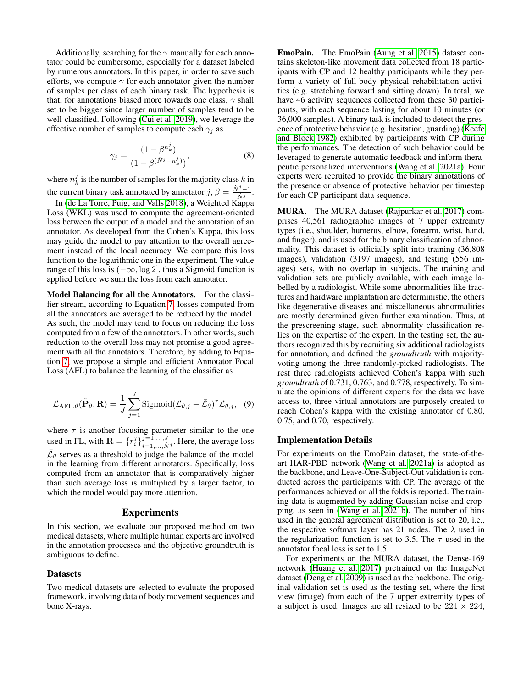Additionally, searching for the  $\gamma$  manually for each annotator could be cumbersome, especially for a dataset labeled by numerous annotators. In this paper, in order to save such efforts, we compute  $\gamma$  for each annotator given the number of samples per class of each binary task. The hypothesis is that, for annotations biased more towards one class,  $\gamma$  shall set to be bigger since larger number of samples tend to be well-classified. Following [\(Cui et al. 2019\)](#page-7-22), we leverage the effective number of samples to compute each  $\gamma_i$  as

$$
\gamma_j = \frac{(1 - \beta^{n_k^j})}{(1 - \beta^{(\dot{N}^j - n_k^j)})},\tag{8}
$$

where  $n_k^j$  is the number of samples for the majority class  $k$  in the current binary task annotated by annotator  $j, \beta = \frac{\hat{N}^j-1}{\hat{N}^j}$  $\frac{y-1}{\dot{N}^j}$ .

In [\(de La Torre, Puig, and Valls 2018\)](#page-7-23), a Weighted Kappa Loss (WKL) was used to compute the agreement-oriented loss between the output of a model and the annotation of an annotator. As developed from the Cohen's Kappa, this loss may guide the model to pay attention to the overall agreement instead of the local accuracy. We compare this loss function to the logarithmic one in the experiment. The value range of this loss is  $(-\infty, \log 2]$ , thus a Sigmoid function is applied before we sum the loss from each annotator.

Model Balancing for all the Annotators. For the classifier stream, according to Equation [7,](#page-3-1) losses computed from all the annotators are averaged to be reduced by the model. As such, the model may tend to focus on reducing the loss computed from a few of the annotators. In other words, such reduction to the overall loss may not promise a good agreement with all the annotators. Therefore, by adding to Equation [7,](#page-3-1) we propose a simple and efficient Annotator Focal Loss (AFL) to balance the learning of the classifier as

<span id="page-4-0"></span>
$$
\mathcal{L}_{\text{AFL},\theta}(\tilde{\mathbf{P}}_{\theta},\mathbf{R}) = \frac{1}{J} \sum_{j=1}^{J} \text{Sigmoid} (\mathcal{L}_{\theta,j} - \bar{\mathcal{L}}_{\theta})^{\tau} \mathcal{L}_{\theta,j}, \quad (9)
$$

where  $\tau$  is another focusing parameter similar to the one used in FL, with  $\mathbf{R} = \{r_i^j\}_{i=1,\dots,N^j}^{j=1,\dots,J}$ . Here, the average loss  $\bar{\mathcal{L}}_{\theta}$  serves as a threshold to judge the balance of the model in the learning from different annotators. Specifically, loss computed from an annotator that is comparatively higher than such average loss is multiplied by a larger factor, to which the model would pay more attention.

#### Experiments

In this section, we evaluate our proposed method on two medical datasets, where multiple human experts are involved in the annotation processes and the objective groundtruth is ambiguous to define.

## Datasets

Two medical datasets are selected to evaluate the proposed framework, involving data of body movement sequences and bone X-rays.

EmoPain. The EmoPain [\(Aung et al. 2015\)](#page-7-24) dataset contains skeleton-like movement data collected from 18 participants with CP and 12 healthy participants while they perform a variety of full-body physical rehabilitation activities (e.g. stretching forward and sitting down). In total, we have 46 activity sequences collected from these 30 participants, with each sequence lasting for about 10 minutes (or 36,000 samples). A binary task is included to detect the presence of protective behavior (e.g. hesitation, guarding) [\(Keefe](#page-7-25) [and Block 1982\)](#page-7-25) exhibited by participants with CP during the performances. The detection of such behavior could be leveraged to generate automatic feedback and inform therapeutic personalized interventions [\(Wang et al. 2021a\)](#page-8-14). Four experts were recruited to provide the binary annotations of the presence or absence of protective behavior per timestep for each CP participant data sequence.

MURA. The MURA dataset [\(Rajpurkar et al. 2017\)](#page-8-9) comprises 40,561 radiographic images of 7 upper extremity types (i.e., shoulder, humerus, elbow, forearm, wrist, hand, and finger), and is used for the binary classification of abnormality. This dataset is officially split into training (36,808 images), validation (3197 images), and testing (556 images) sets, with no overlap in subjects. The training and validation sets are publicly available, with each image labelled by a radiologist. While some abnormalities like fractures and hardware implantation are deterministic, the others like degenerative diseases and miscellaneous abnormalities are mostly determined given further examination. Thus, at the prescreening stage, such abnormality classification relies on the expertise of the expert. In the testing set, the authors recognized this by recruiting six additional radiologists for annotation, and defined the *groundtruth* with majorityvoting among the three randomly-picked radiologists. The rest three radiologists achieved Cohen's kappa with such *groundtruth* of 0.731, 0.763, and 0.778, respectively. To simulate the opinions of different experts for the data we have access to, three virtual annotators are purposely created to reach Cohen's kappa with the existing annotator of 0.80, 0.75, and 0.70, respectively.

#### Implementation Details

For experiments on the EmoPain dataset, the state-of-theart HAR-PBD network [\(Wang et al. 2021a\)](#page-8-14) is adopted as the backbone, and Leave-One-Subject-Out validation is conducted across the participants with CP. The average of the performances achieved on all the folds is reported. The training data is augmented by adding Gaussian noise and cropping, as seen in [\(Wang et al. 2021b\)](#page-8-15). The number of bins used in the general agreement distribution is set to 20, i.e., the respective softmax layer has 21 nodes. The  $\lambda$  used in the regularization function is set to 3.5. The  $\tau$  used in the annotator focal loss is set to 1.5.

For experiments on the MURA dataset, the Dense-169 network [\(Huang et al. 2017\)](#page-7-26) pretrained on the ImageNet dataset [\(Deng et al. 2009\)](#page-7-27) is used as the backbone. The original validation set is used as the testing set, where the first view (image) from each of the 7 upper extremity types of a subject is used. Images are all resized to be  $224 \times 224$ ,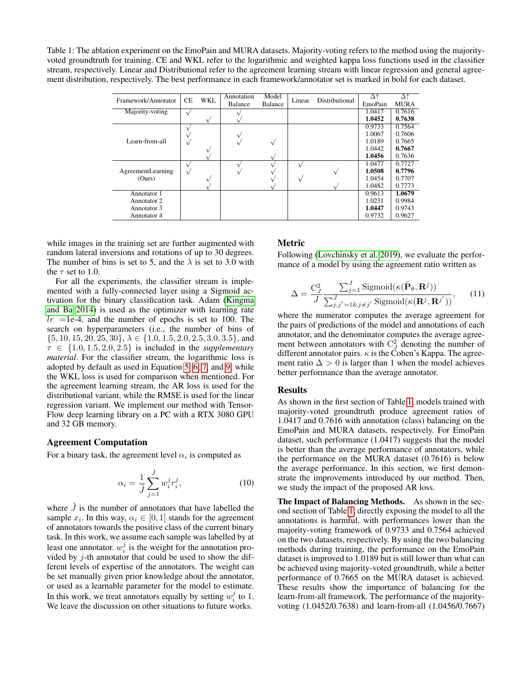<span id="page-5-0"></span>Table 1: The ablation experiment on the EmoPain and MURA datasets. Majority-voting refers to the method using the majorityvoted groundtruth for training. CE and WKL refer to the logarithmic and weighted kappa loss functions used in the classifier stream, respectively. Linear and Distributional refer to the agreement learning stream with linear regression and general agreement distribution, respectively. The best performance in each framework/annotator set is marked in bold for each dataset.

| Framework/Annotator | <b>CE</b>    | WKL | Annotation<br><b>Balance</b> | Model<br>Balance | Linear | Distributional | Δ↑<br>EmoPain | Δ↑<br><b>MURA</b> |
|---------------------|--------------|-----|------------------------------|------------------|--------|----------------|---------------|-------------------|
| Majority-voting     |              |     |                              |                  |        |                | 1.0417        | 0.7616            |
|                     |              |     |                              |                  |        |                | 1.0452        | 0.7638            |
|                     |              |     |                              |                  |        |                | 0.9733        | 0.7564            |
|                     |              |     |                              |                  |        |                | 1.0067        | 0.7606            |
| Learn-from-all      |              |     |                              |                  |        |                | 1.0189        | 0.7665            |
|                     |              |     |                              |                  |        |                | 1.0442        | 0.7667            |
|                     |              |     |                              |                  |        |                | 1.0456        | 0.7636            |
|                     |              |     |                              |                  |        |                | 1.0477        | 0.7727            |
| AgreementLearning   | $\mathbf{v}$ |     |                              |                  |        |                | 1.0508        | 0.7796            |
| (Ours)              |              |     |                              |                  |        |                | 1.0454        | 0.7707            |
|                     |              |     |                              |                  |        |                | 1.0482        | 0.7773            |
| Annotator 1         |              |     |                              |                  |        |                | 0.9613        | 1.0679            |
| Annotator 2         |              |     |                              |                  |        |                | 1.0231        | 0.9984            |
| Annotator 3         |              |     |                              |                  |        |                | 1.0447        | 0.9743            |
| Annotator 4         |              |     |                              |                  |        |                | 0.9732        | 0.9627            |

while images in the training set are further augmented with random lateral inversions and rotations of up to 30 degrees. The number of bins is set to 5, and the  $\lambda$  is set to 3.0 with the  $\tau$  set to 1.0.

For all the experiments, the classifier stream is implemented with a fully-connected layer using a Sigmoid activation for the binary classification task. Adam [\(Kingma](#page-7-28) [and Ba 2014\)](#page-7-28) is used as the optimizer with learning rate  $lr$  =1e-4, and the number of epochs is set to 100. The search on hyperparameters (i.e., the number of bins of  $\{5, 10, 15, 20, 25, 30\}, \lambda \in \{1.0, 1.5, 2.0, 2.5, 3.0, 3.5\}, \text{and}$  $\tau \in \{1.0, 1.5, 2.0, 2.5\}$  is included in the *supplementary material*. For the classifier stream, the logarithmic loss is adopted by default as used in Equation [5,](#page-3-2) [6,](#page-3-3) [7,](#page-3-1) and [9,](#page-4-0) while the WKL loss is used for comparison when mentioned. For the agreement learning stream, the AR loss is used for the distributional variant, while the RMSE is used for the linear regression variant. We implement our method with Tensor-Flow deep learning library on a PC with a RTX 3080 GPU and 32 GB memory.

#### Agreement Computation

For a binary task, the agreement level  $\alpha_i$  is computed as

$$
\alpha_i = \frac{1}{j} \sum_{j=1}^{j} w_i^j r_i^j,
$$
\n(10)

where  $\hat{J}$  is the number of annotators that have labelled the sample  $x_i$ . In this way,  $\alpha_i \in [0,1]$  stands for the agreement of annotators towards the positive class of the current binary task. In this work, we assume each sample was labelled by at least one annotator.  $w_i^j$  is the weight for the annotation provided by  $j$ -th annotator that could be used to show the different levels of expertise of the annotators. The weight can be set manually given prior knowledge about the annotator, or used as a learnable parameter for the model to estimate. In this work, we treat annotators equally by setting  $w_i^j$  to 1. We leave the discussion on other situations to future works.

# Metric

Following [\(Lovchinsky et al. 2019\)](#page-8-13), we evaluate the performance of a model by using the agreement ratio written as

$$
\Delta = \frac{C_J^2}{J} \frac{\sum_{j=1}^J \text{Sigmoid}(\kappa(\tilde{\mathbf{P}}_{\theta}, \mathbf{R}^j))}{\sum_{j,j'=1 \& j \neq j'}^J \text{Sigmoid}(\kappa(\mathbf{R}^j, \mathbf{R}^{j'}))}, \quad (11)
$$

where the numerator computes the average agreement for the pairs of predictions of the model and annotations of each annotator, and the denominator computes the average agreement between annotators with  $C_J^2$  denoting the number of different annotator pairs.  $\kappa$  is the Cohen's Kappa. The agreement ratio  $\Delta > 0$  is larger than 1 when the model achieves better performance than the average annotator.

## Results

As shown in the first section of Table [1,](#page-5-0) models trained with majority-voted groundtruth produce agreement ratios of 1.0417 and 0.7616 with annotation (class) balancing on the EmoPain and MURA datasets, respectively. For EmoPain dataset, such performance (1.0417) suggests that the model is better than the average performance of annotators, while the performance on the MURA dataset (0.7616) is below the average performance. In this section, we first demonstrate the improvements introduced by our method. Then, we study the impact of the proposed AR loss.

The Impact of Balancing Methods. As shown in the second section of Table [1,](#page-5-0) directly exposing the model to all the annotations is harmful, with performances lower than the majority-voting framework of 0.9733 and 0.7564 achieved on the two datasets, respectively. By using the two balancing methods during training, the performance on the EmoPain dataset is improved to 1.0189 but is still lower than what can be achieved using majority-voted groundtruth, while a better performance of 0.7665 on the MURA dataset is achieved. These results show the importance of balancing for the learn-from-all framework. The performance of the majorityvoting (1.0452/0.7638) and learn-from-all (1.0456/0.7667)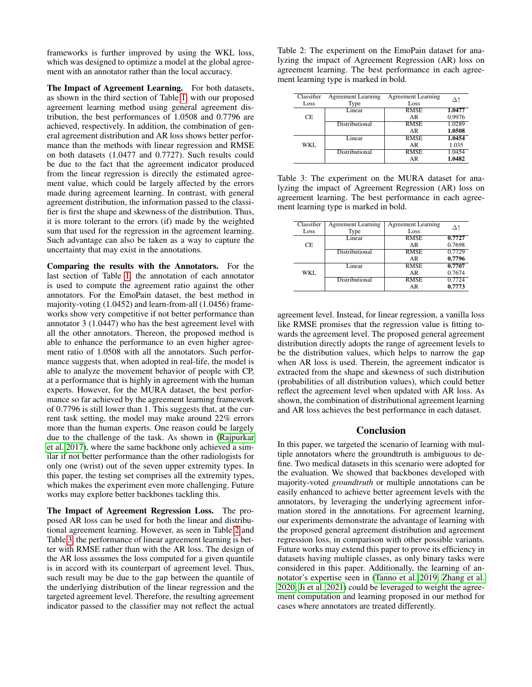frameworks is further improved by using the WKL loss, which was designed to optimize a model at the global agreement with an annotator rather than the local accuracy.

The Impact of Agreement Learning. For both datasets, as shown in the third section of Table [1,](#page-5-0) with our proposed agreement learning method using general agreement distribution, the best performances of 1.0508 and 0.7796 are achieved, respectively. In addition, the combination of general agreement distribution and AR loss shows better performance than the methods with linear regression and RMSE on both datasets (1.0477 and 0.7727). Such results could be due to the fact that the agreement indicator produced from the linear regression is directly the estimated agreement value, which could be largely affected by the errors made during agreement learning. In contrast, with general agreement distribution, the information passed to the classifier is first the shape and skewness of the distribution. Thus, it is more tolerant to the errors (if) made by the weighted sum that used for the regression in the agreement learning. Such advantage can also be taken as a way to capture the uncertainty that may exist in the annotations.

Comparing the results with the Annotators. For the last section of Table [1,](#page-5-0) the annotation of each annotator is used to compute the agreement ratio against the other annotators. For the EmoPain dataset, the best method in majority-voting (1.0452) and learn-from-all (1.0456) frameworks show very competitive if not better performance than annotator 3 (1.0447) who has the best agreement level with all the other annotators. Thereon, the proposed method is able to enhance the performance to an even higher agreement ratio of 1.0508 with all the annotators. Such performance suggests that, when adopted in real-life, the model is able to analyze the movement behavior of people with CP, at a performance that is highly in agreement with the human experts. However, for the MURA dataset, the best performance so far achieved by the agreement learning framework of 0.7796 is still lower than 1. This suggests that, at the current task setting, the model may make around 22% errors more than the human experts. One reason could be largely due to the challenge of the task. As shown in [\(Rajpurkar](#page-8-9) [et al. 2017\)](#page-8-9), where the same backbone only achieved a similar if not better performance than the other radiologists for only one (wrist) out of the seven upper extremity types. In this paper, the testing set comprises all the extremity types, which makes the experiment even more challenging. Future works may explore better backbones tackling this.

The Impact of Agreement Regression Loss. The proposed AR loss can be used for both the linear and distributional agreement learning. However, as seen in Table [2](#page-6-0) and Table [3,](#page-6-1) the performance of linear agreement learning is better with RMSE rather than with the AR loss. The design of the AR loss assumes the loss computed for a given quantile is in accord with its counterpart of agreement level. Thus, such result may be due to the gap between the quantile of the underlying distribution of the linear regression and the targeted agreement level. Therefore, the resulting agreement indicator passed to the classifier may not reflect the actual <span id="page-6-0"></span>Table 2: The experiment on the EmoPain dataset for analyzing the impact of Agreement Regression (AR) loss on agreement learning. The best performance in each agreement learning type is marked in bold.

| Classifier<br>Loss | <b>Agreement Learning</b><br>Type | <b>Agreement Learning</b><br>Loss |        |
|--------------------|-----------------------------------|-----------------------------------|--------|
|                    | Linear                            | <b>RMSE</b>                       | 1.0477 |
| CE                 |                                   | AR                                | 0.9976 |
|                    | <b>Distributional</b>             | <b>RMSE</b>                       | 1.0289 |
|                    |                                   | AR                                | 1.0508 |
| WKL.               | Linear                            | <b>RMSE</b>                       | 1.0454 |
|                    |                                   | AR                                | 1.035  |
|                    | <b>Distributional</b>             | <b>RMSE</b>                       | 1.0454 |
|                    |                                   | AR                                | 1.0482 |

<span id="page-6-1"></span>Table 3: The experiment on the MURA dataset for analyzing the impact of Agreement Regression (AR) loss on agreement learning. The best performance in each agreement learning type is marked in bold.

| Classifier | <b>Agreement Learning</b> | <b>Agreement Learning</b> |        |  |
|------------|---------------------------|---------------------------|--------|--|
| Loss       | Type                      | Loss                      |        |  |
|            | Linear                    | <b>RMSE</b>               | 0.7727 |  |
| CE         |                           | AR                        | 0.7698 |  |
|            | <b>Distributional</b>     | <b>RMSE</b>               | 0.7729 |  |
|            |                           | AR                        | 0.7796 |  |
|            | Linear                    | <b>RMSE</b>               | 0.7707 |  |
| WKL        |                           | AR                        | 0.7674 |  |
|            | Distributional            | <b>RMSE</b>               | 0.7724 |  |
|            |                           | AR                        | 0.7773 |  |

agreement level. Instead, for linear regression, a vanilla loss like RMSE promises that the regression value is fitting towards the agreement level. The proposed general agreement distribution directly adopts the range of agreement levels to be the distribution values, which helps to narrow the gap when AR loss is used. Therein, the agreement indicator is extracted from the shape and skewness of such distribution (probabilities of all distribution values), which could better reflect the agreement level when updated with AR loss. As shown, the combination of distributional agreement learning and AR loss achieves the best performance in each dataset.

# Conclusion

In this paper, we targeted the scenario of learning with multiple annotators where the groundtruth is ambiguous to define. Two medical datasets in this scenario were adopted for the evaluation. We showed that backbones developed with majority-voted *groundtruth* or multiple annotations can be easily enhanced to achieve better agreement levels with the annotators, by leveraging the underlying agreement information stored in the annotations. For agreement learning, our experiments demonstrate the advantage of learning with the proposed general agreement distribution and agreement regression loss, in comparison with other possible variants. Future works may extend this paper to prove its efficiency in datasets having multiple classes, as only binary tasks were considered in this paper. Additionally, the learning of annotator's expertise seen in [\(Tanno et al. 2019;](#page-8-6) [Zhang et al.](#page-8-7) [2020;](#page-8-7) [Ji et al. 2021\)](#page-7-6) could be leveraged to weight the agreement computation and learning proposed in our method for cases where annotators are treated differently.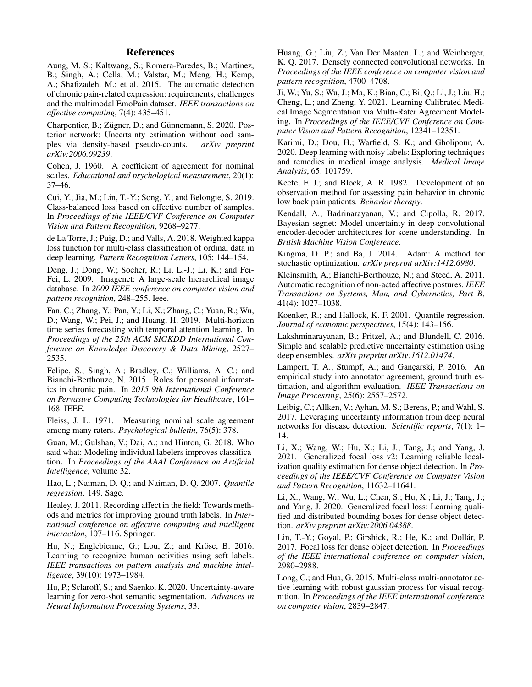# References

<span id="page-7-24"></span>Aung, M. S.; Kaltwang, S.; Romera-Paredes, B.; Martinez, B.; Singh, A.; Cella, M.; Valstar, M.; Meng, H.; Kemp, A.; Shafizadeh, M.; et al. 2015. The automatic detection of chronic pain-related expression: requirements, challenges and the multimodal EmoPain dataset. *IEEE transactions on affective computing*, 7(4): 435–451.

<span id="page-7-11"></span>Charpentier, B.; Zügner, D.; and Günnemann, S. 2020. Posterior network: Uncertainty estimation without ood samples via density-based pseudo-counts. *arXiv preprint arXiv:2006.09239*.

<span id="page-7-14"></span>Cohen, J. 1960. A coefficient of agreement for nominal scales. *Educational and psychological measurement*, 20(1): 37–46.

<span id="page-7-22"></span>Cui, Y.; Jia, M.; Lin, T.-Y.; Song, Y.; and Belongie, S. 2019. Class-balanced loss based on effective number of samples. In *Proceedings of the IEEE/CVF Conference on Computer Vision and Pattern Recognition*, 9268–9277.

<span id="page-7-23"></span>de La Torre, J.; Puig, D.; and Valls, A. 2018. Weighted kappa loss function for multi-class classification of ordinal data in deep learning. *Pattern Recognition Letters*, 105: 144–154.

<span id="page-7-27"></span>Deng, J.; Dong, W.; Socher, R.; Li, L.-J.; Li, K.; and Fei-Fei, L. 2009. Imagenet: A large-scale hierarchical image database. In *2009 IEEE conference on computer vision and pattern recognition*, 248–255. Ieee.

<span id="page-7-19"></span>Fan, C.; Zhang, Y.; Pan, Y.; Li, X.; Zhang, C.; Yuan, R.; Wu, D.; Wang, W.; Pei, J.; and Huang, H. 2019. Multi-horizon time series forecasting with temporal attention learning. In *Proceedings of the 25th ACM SIGKDD International Conference on Knowledge Discovery & Data Mining*, 2527– 2535.

<span id="page-7-7"></span>Felipe, S.; Singh, A.; Bradley, C.; Williams, A. C.; and Bianchi-Berthouze, N. 2015. Roles for personal informatics in chronic pain. In *2015 9th International Conference on Pervasive Computing Technologies for Healthcare*, 161– 168. IEEE.

<span id="page-7-15"></span>Fleiss, J. L. 1971. Measuring nominal scale agreement among many raters. *Psychological bulletin*, 76(5): 378.

<span id="page-7-5"></span>Guan, M.; Gulshan, V.; Dai, A.; and Hinton, G. 2018. Who said what: Modeling individual labelers improves classification. In *Proceedings of the AAAI Conference on Artificial Intelligence*, volume 32.

<span id="page-7-18"></span>Hao, L.; Naiman, D. Q.; and Naiman, D. Q. 2007. *Quantile regression*. 149. Sage.

<span id="page-7-4"></span>Healey, J. 2011. Recording affect in the field: Towards methods and metrics for improving ground truth labels. In *International conference on affective computing and intelligent interaction*, 107–116. Springer.

<span id="page-7-2"></span>Hu, N.; Englebienne, G.; Lou, Z.; and Kröse, B. 2016. Learning to recognize human activities using soft labels. *IEEE transactions on pattern analysis and machine intelligence*, 39(10): 1973–1984.

<span id="page-7-10"></span>Hu, P.; Sclaroff, S.; and Saenko, K. 2020. Uncertainty-aware learning for zero-shot semantic segmentation. *Advances in Neural Information Processing Systems*, 33.

<span id="page-7-26"></span>Huang, G.; Liu, Z.; Van Der Maaten, L.; and Weinberger, K. Q. 2017. Densely connected convolutional networks. In *Proceedings of the IEEE conference on computer vision and pattern recognition*, 4700–4708.

<span id="page-7-6"></span>Ji, W.; Yu, S.; Wu, J.; Ma, K.; Bian, C.; Bi, Q.; Li, J.; Liu, H.; Cheng, L.; and Zheng, Y. 2021. Learning Calibrated Medical Image Segmentation via Multi-Rater Agreement Modeling. In *Proceedings of the IEEE/CVF Conference on Computer Vision and Pattern Recognition*, 12341–12351.

<span id="page-7-1"></span>Karimi, D.; Dou, H.; Warfield, S. K.; and Gholipour, A. 2020. Deep learning with noisy labels: Exploring techniques and remedies in medical image analysis. *Medical Image Analysis*, 65: 101759.

<span id="page-7-25"></span>Keefe, F. J.; and Block, A. R. 1982. Development of an observation method for assessing pain behavior in chronic low back pain patients. *Behavior therapy*.

<span id="page-7-9"></span>Kendall, A.; Badrinarayanan, V.; and Cipolla, R. 2017. Bayesian segnet: Model uncertainty in deep convolutional encoder-decoder architectures for scene understanding. In *British Machine Vision Conference*.

<span id="page-7-28"></span>Kingma, D. P.; and Ba, J. 2014. Adam: A method for stochastic optimization. *arXiv preprint arXiv:1412.6980*.

<span id="page-7-13"></span>Kleinsmith, A.; Bianchi-Berthouze, N.; and Steed, A. 2011. Automatic recognition of non-acted affective postures. *IEEE Transactions on Systems, Man, and Cybernetics, Part B*, 41(4): 1027–1038.

<span id="page-7-17"></span>Koenker, R.; and Hallock, K. F. 2001. Quantile regression. *Journal of economic perspectives*, 15(4): 143–156.

<span id="page-7-12"></span>Lakshminarayanan, B.; Pritzel, A.; and Blundell, C. 2016. Simple and scalable predictive uncertainty estimation using deep ensembles. *arXiv preprint arXiv:1612.01474*.

<span id="page-7-0"></span>Lampert, T. A.; Stumpf, A.; and Gançarski, P. 2016. An empirical study into annotator agreement, ground truth estimation, and algorithm evaluation. *IEEE Transactions on Image Processing*, 25(6): 2557–2572.

<span id="page-7-8"></span>Leibig, C.; Allken, V.; Ayhan, M. S.; Berens, P.; and Wahl, S. 2017. Leveraging uncertainty information from deep neural networks for disease detection. *Scientific reports*, 7(1): 1– 14.

<span id="page-7-20"></span>Li, X.; Wang, W.; Hu, X.; Li, J.; Tang, J.; and Yang, J. 2021. Generalized focal loss v2: Learning reliable localization quality estimation for dense object detection. In *Proceedings of the IEEE/CVF Conference on Computer Vision and Pattern Recognition*, 11632–11641.

<span id="page-7-16"></span>Li, X.; Wang, W.; Wu, L.; Chen, S.; Hu, X.; Li, J.; Tang, J.; and Yang, J. 2020. Generalized focal loss: Learning qualified and distributed bounding boxes for dense object detection. *arXiv preprint arXiv:2006.04388*.

<span id="page-7-21"></span>Lin, T.-Y.; Goyal, P.; Girshick, R.; He, K.; and Dollár, P. 2017. Focal loss for dense object detection. In *Proceedings of the IEEE international conference on computer vision*, 2980–2988.

<span id="page-7-3"></span>Long, C.; and Hua, G. 2015. Multi-class multi-annotator active learning with robust gaussian process for visual recognition. In *Proceedings of the IEEE international conference on computer vision*, 2839–2847.